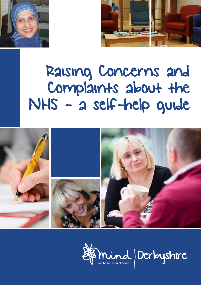



# Raising Concerns and Complaints about the NHS - a self-help guide



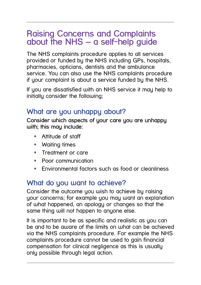# **Raising Concerns and Complaints about the NHS – a self-help guide**

The NHS complaints procedure applies to all services provided or funded by the NHS including GPs, hospitals, pharmacies, opticians, dentists and the ambulance service. You can also use the NHS complaints procedure if your complaint is about a service funded by the NHS.

If you are dissatisfied with an NHS service it may help to initially consider the following;

#### **What are you unhappy about?**

**Consider which aspects of your care you are unhappy with; this may include:**

- **Attitude of staff**
- **•** Waiting times
- **Treatment or care**
- **Poor communication**
- **Environmental factors such as food or cleanliness**

#### **What do you want to achieve?**

Consider the outcome you wish to achieve by raising your concerns; for example you may want an explanation of what happened, an apology or changes so that the same thing will not happen to anyone else.

It is important to be as specific and realistic as you can be and to be aware of the limits on what can be achieved via the NHS complaints procedure. For example the NHS complaints procedure cannot be used to gain financial compensation for clinical negligence as this is usually only possible through legal action.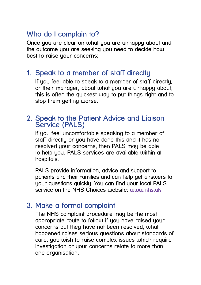## **Who do I complain to?**

**Once you are clear on what you are unhappy about and the outcome you are seeking you need to decide how best to raise your concerns;**

#### **1. Speak to a member of staff directly**

If you feel able to speak to a member of staff directly, or their manager, about what you are unhappy about, this is often the quickest way to put things right and to stop them getting worse.

#### **2. Speak to the Patient Advice and Liaison Service (PALS)**

If you feel uncomfortable speaking to a member of staff directly or you have done this and it has not resolved your concerns, then PALS may be able to help you. PALS services are available within all hospitals.

PALS provide information, advice and support to patients and their families and can help get answers to your questions quickly. You can find your local PALS service on the NHS Choices website: **www.nhs.uk** 

#### **3. Make a formal complaint**

The NHS complaint procedure may be the most appropriate route to follow if you have raised your concerns but they have not been resolved, what happened raises serious questions about standards of care, you wish to raise complex issues which require investigation or your concerns relate to more than one organisation.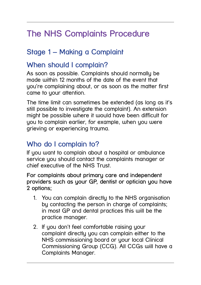# **The NHS Complaints Procedure**

# **Stage 1 – Making a Complaint**

#### **When should I complain?**

As soon as possible. Complaints should normally be made within 12 months of the date of the event that you're complaining about, or as soon as the matter first came to your attention.

The time limit can sometimes be extended (as long as it's still possible to investigate the complaint). An extension might be possible where it would have been difficult for you to complain earlier, for example, when you were grieving or experiencing trauma.

## **Who do I complain to?**

If you want to complain about a hospital or ambulance service you should contact the complaints manager or chief executive of the NHS Trust.

**For complaints about primary care and independent providers such as your GP, dentist or optician you have 2 options;**

- 1. You can complain directly to the NHS organisation by contacting the person in charge of complaints; in most GP and dental practices this will be the practice manager.
- 2. If you don't feel comfortable raising your complaint directly you can complain either to the NHS commissioning board or your local Clinical Commissioning Group (CCG). All CCGs will have a Complaints Manager.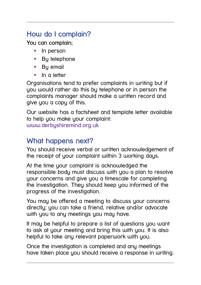# **How do I complain?**

**You can complain;**

- **In person**
- By telephone
- By email
- $\blacksquare$  In a letter

Organisations tend to prefer complaints in writing but if you would rather do this by telephone or in person the complaints manager should make a written record and give you a copy of this.

Our website has a factsheet and template letter available to help you make your complaint: **www.derbyshiremind.org.uk**

## **What happens next?**

You should receive verbal or written acknowledgement of the receipt of your complaint within 3 working days.

At the time your complaint is acknowledged the responsible body must discuss with you a plan to resolve your concerns and give you a timescale for completing the investigation. They should keep you informed of the progress of the investigation.

You may be offered a meeting to discuss your concerns directly; you can take a friend, relative and/or advocate with you to any meetings you may have.

It may be helpful to prepare a list of questions you want to ask at your meeting and bring this with you. It is also helpful to take any relevant paperwork with you.

Once the investigation is completed and any meetings have taken place you should receive a response in writing.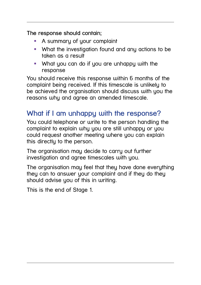**The response should contain;**

- A summary of your complaint
- What the investigation found and any actions to be taken as a result
- **What you can do if you are unhappy with the** response

You should receive this response within 6 months of the complaint being received. If this timescale is unlikely to be achieved the organisation should discuss with you the reasons why and agree an amended timescale.

# **What if I am unhappy with the response?**

You could telephone or write to the person handling the complaint to explain why you are still unhappy or you could request another meeting where you can explain this directly to the person.

The organisation may decide to carry out further investigation and agree timescales with you.

The organisation may feel that they have done everything they can to answer your complaint and if they do they should advise you of this in writing.

This is the end of Stage 1.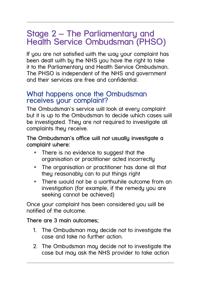# **Stage 2 – The Parliamentary and Health Service Ombudsman (PHSO)**

If you are not satisfied with the way your complaint has been dealt with by the NHS you have the right to take it to the Parliamentary and Health Service Ombudsman. The PHSO is independent of the NHS and government and their services are free and confidential.

#### **What happens once the Ombudsman receives your complaint?**

The Ombudsman's service will look at every complaint but it is up to the Ombudsman to decide which cases will be investigated. They are not required to investigate all complaints they receive.

**The Ombudsman's office will not usually investigate a complaint where:**

- **There is no evidence to suggest that the** organisation or practitioner acted incorrectly
- The organisation or practitioner has done all that they reasonably can to put things right
- **There would not be a worthwhile outcome from an** investigation (for example, if the remedy you are seeking cannot be achieved)

Once your complaint has been considered you will be notified of the outcome.

**There are 3 main outcomes;**

- 1. The Ombudsman may decide not to investigate the case and take no further action.
- 2. The Ombudsman may decide not to investigate the case but may ask the NHS provider to take action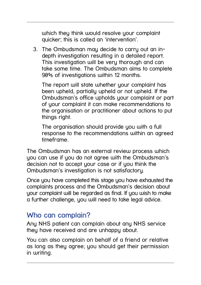which they think would resolve your complaint quicker; this is called an 'intervention'.

3. The Ombudsman may decide to carry out an indepth investigation resulting in a detailed report. This investigation will be very thorough and can take some time. The Ombudsman aims to complete 90% of investigations within 12 months.

The report will state whether your complaint has been upheld, partially upheld or not upheld. If the Ombudsman's office upholds your complaint or part of your complaint it can make recommendations to the organisation or practitioner about actions to put things right.

The organisation should provide you with a full response to the recommendations within an agreed timeframe.

The Ombudsman has an external review process which you can use if you do not agree with the Ombudsman's decision not to accept your case or if you think the Ombudsman's investigation is not satisfactory.

Once you have completed this stage you have exhausted the complaints process and the Ombudsman's decision about your complaint will be regarded as final. If you wish to make a further challenge, you will need to take legal advice.

#### **Who can complain?**

Any NHS patient can complain about any NHS service they have received and are unhappy about.

You can also complain on behalf of a friend or relative as long as they agree; you should get their permission in writing.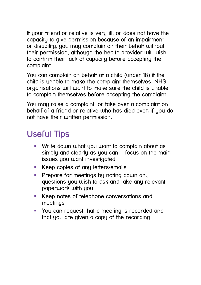If your friend or relative is very ill, or does not have the capacity to give permission because of an impairment or disability, you may complain on their behalf without their permission, although the health provider will wish to confirm their lack of capacity before accepting the complaint.

You can complain on behalf of a child (under 18) if the child is unable to make the complaint themselves. NHS organisations will want to make sure the child is unable to complain themselves before accepting the complaint.

You may raise a complaint, or take over a complaint on behalf of a friend or relative who has died even if you do not have their written permission.

# **Useful Tips**

- Write down what you want to complain about as simply and clearly as you can – focus on the main issues you want investigated
- **Keep copies of any letters/emails**
- **Prepare for meetings by noting down any** questions you wish to ask and take any relevant paperwork with you
- **Keep notes of telephone conversations and** meetings
- You can request that a meeting is recorded and that you are given a copy of the recording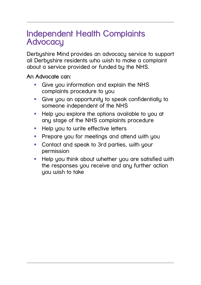# **Independent Health Complaints Advocacy**

Derbyshire Mind provides an advocacy service to support all Derbyshire residents who wish to make a complaint about a service provided or funded by the NHS.

**An Advocate can:**

- Give you information and explain the NHS complaints procedure to you
- Give you an opportunity to speak confidentially to someone independent of the NHS
- **Help you explore the options available to you at** any stage of the NHS complaints procedure
- **Help you to write effective letters**
- **Prepare you for meetings and attend with you**
- **Contact and speak to 3rd parties, with your** permission
- **Help you think about whether you are satisfied with** the responses you receive and any further action you wish to take